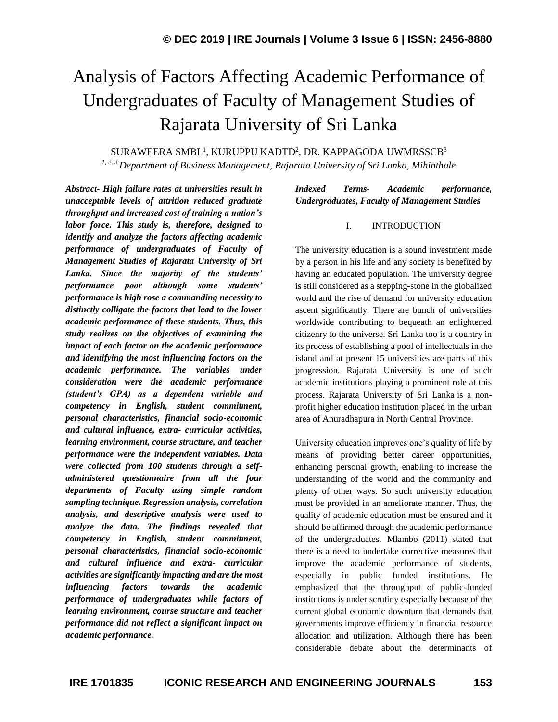# Analysis of Factors Affecting Academic Performance of Undergraduates of Faculty of Management Studies of Rajarata University of Sri Lanka

 $\rm SURAWEERA\ SMBL^1, KURUPPU\ KADTD^2, DR.$  KAPPAGODA UWMRSSCB $^3$ 

*1, 2, 3 Department of Business Management, Rajarata University of Sri Lanka, Mihinthale*

*Abstract- High failure rates at universities result in unacceptable levels of attrition reduced graduate throughput and increased cost of training a nation's labor force. This study is, therefore, designed to identify and analyze the factors affecting academic performance of undergraduates of Faculty of Management Studies of Rajarata University of Sri Lanka. Since the majority of the students' performance poor although some students' performance is high rose a commanding necessity to distinctly colligate the factors that lead to the lower academic performance of these students. Thus, this study realizes on the objectives of examining the impact of each factor on the academic performance and identifying the most influencing factors on the academic performance. The variables under consideration were the academic performance (student's GPA) as a dependent variable and competency in English, student commitment, personal characteristics, financial socio-economic and cultural influence, extra- curricular activities, learning environment, course structure, and teacher performance were the independent variables. Data were collected from 100 students through a selfadministered questionnaire from all the four departments of Faculty using simple random sampling technique. Regression analysis, correlation analysis, and descriptive analysis were used to analyze the data. The findings revealed that competency in English, student commitment, personal characteristics, financial socio-economic and cultural influence and extra- curricular activities are significantly impacting and are the most influencing factors towards the academic performance of undergraduates while factors of learning environment, course structure and teacher performance did not reflect a significant impact on academic performance.*

*Indexed Terms- Academic performance, Undergraduates, Faculty of Management Studies*

## I. INTRODUCTION

The university education is a sound investment made by a person in his life and any society is benefited by having an educated population. The university degree is still considered as a stepping-stone in the globalized world and the rise of demand for university education ascent significantly. There are bunch of universities worldwide contributing to bequeath an enlightened citizenry to the universe. Sri Lanka too is a country in its process of establishing a pool of intellectuals in the island and at present 15 universities are parts of this progression. Rajarata University is one of such academic institutions playing a prominent role at this process. Rajarata University of Sri Lanka is a nonprofit higher education institution placed in the urban area of Anuradhapura in North Central Province.

University education improves one's quality of life by means of providing better career opportunities, enhancing personal growth, enabling to increase the understanding of the world and the community and plenty of other ways. So such university education must be provided in an ameliorate manner. Thus, the quality of academic education must be ensured and it should be affirmed through the academic performance of the undergraduates. Mlambo (2011) stated that there is a need to undertake corrective measures that improve the academic performance of students, especially in public funded institutions. He emphasized that the throughput of public-funded institutions is under scrutiny especially because of the current global economic downturn that demands that governments improve efficiency in financial resource allocation and utilization. Although there has been considerable debate about the determinants of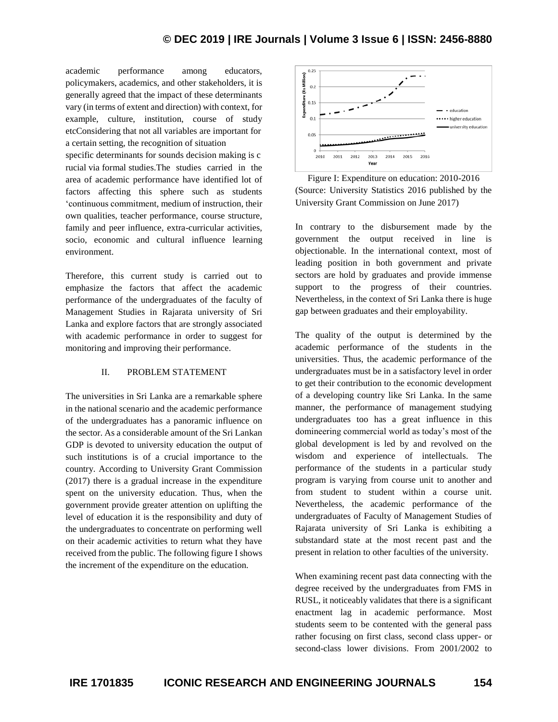academic performance among educators, policymakers, academics, and other stakeholders, it is generally agreed that the impact of these determinants vary (in terms of extent and direction) with context, for example, culture, institution, course of study etcConsidering that not all variables are important for a certain setting, the recognition of situation

specific determinants for sounds decision making is c rucial via formal studies.The studies carried in the area of academic performance have identified lot of factors affecting this sphere such as students 'continuous commitment, medium of instruction, their own qualities, teacher performance, course structure, family and peer influence, extra-curricular activities, socio, economic and cultural influence learning environment.

Therefore, this current study is carried out to emphasize the factors that affect the academic performance of the undergraduates of the faculty of Management Studies in Rajarata university of Sri Lanka and explore factors that are strongly associated with academic performance in order to suggest for monitoring and improving their performance.

#### II. PROBLEM STATEMENT

The universities in Sri Lanka are a remarkable sphere in the national scenario and the academic performance of the undergraduates has a panoramic influence on the sector. As a considerable amount of the Sri Lankan GDP is devoted to university education the output of such institutions is of a crucial importance to the country. According to University Grant Commission (2017) there is a gradual increase in the expenditure spent on the university education. Thus, when the government provide greater attention on uplifting the level of education it is the responsibility and duty of the undergraduates to concentrate on performing well on their academic activities to return what they have received from the public. The following figure I shows the increment of the expenditure on the education.



Figure I: Expenditure on education: 2010-2016 (Source: University Statistics 2016 published by the University Grant Commission on June 2017)

In contrary to the disbursement made by the government the output received in line is objectionable. In the international context, most of leading position in both government and private sectors are hold by graduates and provide immense support to the progress of their countries. Nevertheless, in the context of Sri Lanka there is huge gap between graduates and their employability.

The quality of the output is determined by the academic performance of the students in the universities. Thus, the academic performance of the undergraduates must be in a satisfactory level in order to get their contribution to the economic development of a developing country like Sri Lanka. In the same manner, the performance of management studying undergraduates too has a great influence in this domineering commercial world as today's most of the global development is led by and revolved on the wisdom and experience of intellectuals. The performance of the students in a particular study program is varying from course unit to another and from student to student within a course unit. Nevertheless, the academic performance of the undergraduates of Faculty of Management Studies of Rajarata university of Sri Lanka is exhibiting a substandard state at the most recent past and the present in relation to other faculties of the university.

When examining recent past data connecting with the degree received by the undergraduates from FMS in RUSL, it noticeably validates that there is a significant enactment lag in academic performance. Most students seem to be contented with the general pass rather focusing on first class, second class upper- or second-class lower divisions. From 2001/2002 to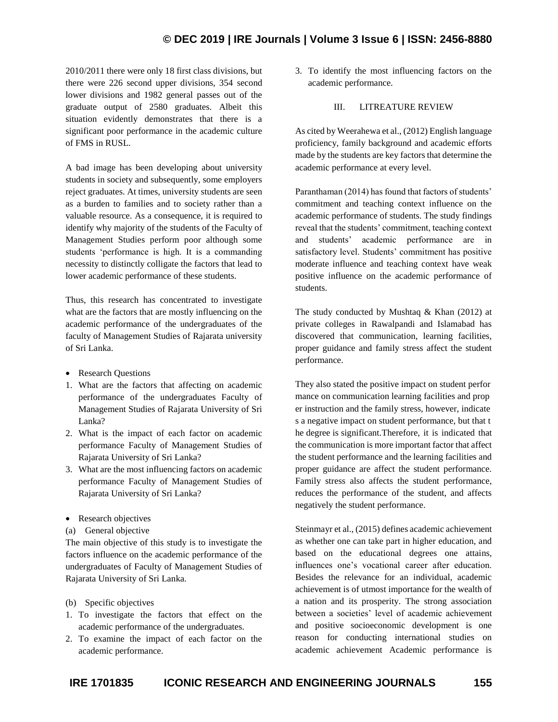2010/2011 there were only 18 first class divisions, but there were 226 second upper divisions, 354 second lower divisions and 1982 general passes out of the graduate output of 2580 graduates. Albeit this situation evidently demonstrates that there is a significant poor performance in the academic culture of FMS in RUSL.

A bad image has been developing about university students in society and subsequently, some employers reject graduates. At times, university students are seen as a burden to families and to society rather than a valuable resource. As a consequence, it is required to identify why majority of the students of the Faculty of Management Studies perform poor although some students 'performance is high. It is a commanding necessity to distinctly colligate the factors that lead to lower academic performance of these students.

Thus, this research has concentrated to investigate what are the factors that are mostly influencing on the academic performance of the undergraduates of the faculty of Management Studies of Rajarata university of Sri Lanka.

- Research Questions
- 1. What are the factors that affecting on academic performance of the undergraduates Faculty of Management Studies of Rajarata University of Sri Lanka?
- 2. What is the impact of each factor on academic performance Faculty of Management Studies of Rajarata University of Sri Lanka?
- 3. What are the most influencing factors on academic performance Faculty of Management Studies of Rajarata University of Sri Lanka?
- Research objectives
- (a) General objective

The main objective of this study is to investigate the factors influence on the academic performance of the undergraduates of Faculty of Management Studies of Rajarata University of Sri Lanka.

- (b) Specific objectives
- 1. To investigate the factors that effect on the academic performance of the undergraduates.
- 2. To examine the impact of each factor on the academic performance.

3. To identify the most influencing factors on the academic performance.

#### III. LITREATURE REVIEW

As cited by Weerahewa et al., (2012) English language proficiency, family background and academic efforts made by the students are key factors that determine the academic performance at every level.

Paranthaman (2014) has found that factors of students' commitment and teaching context influence on the academic performance of students. The study findings reveal that the students' commitment, teaching context and students' academic performance are in satisfactory level. Students' commitment has positive moderate influence and teaching context have weak positive influence on the academic performance of students.

The study conducted by Mushtaq  $\&$  Khan (2012) at private colleges in Rawalpandi and Islamabad has discovered that communication, learning facilities, proper guidance and family stress affect the student performance.

They also stated the positive impact on student perfor mance on communication learning facilities and prop er instruction and the family stress, however, indicate s a negative impact on student performance, but that t he degree is significant.Therefore, it is indicated that the communication is more important factor that affect the student performance and the learning facilities and proper guidance are affect the student performance. Family stress also affects the student performance, reduces the performance of the student, and affects negatively the student performance.

Steinmayr et al., (2015) defines academic achievement as whether one can take part in higher education, and based on the educational degrees one attains, influences one's vocational career after education. Besides the relevance for an individual, academic achievement is of utmost importance for the wealth of a nation and its prosperity. The strong association between a societies' level of academic achievement and positive socioeconomic development is one reason for conducting international studies on academic achievement Academic performance is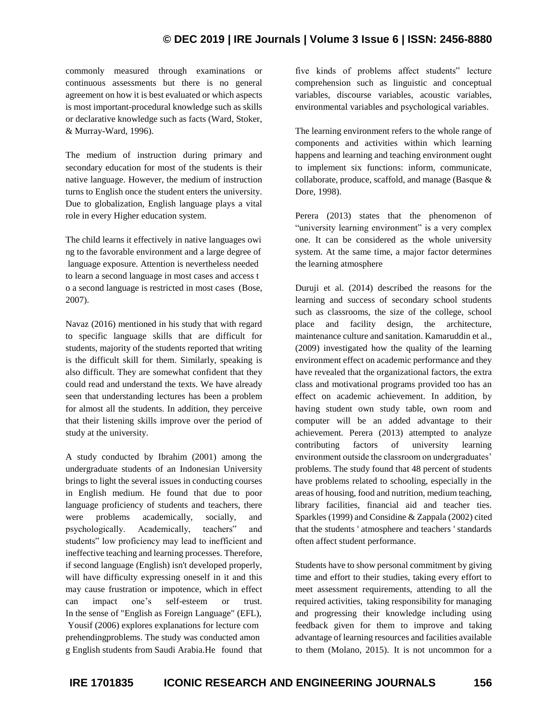commonly measured through examinations or continuous assessments but there is no general agreement on how it is best evaluated or which aspects is most important-procedural knowledge such as skills or declarative knowledge such as facts (Ward, Stoker, & Murray-Ward, 1996).

The medium of instruction during primary and secondary education for most of the students is their native language. However, the medium of instruction turns to English once the student enters the university. Due to globalization, English language plays a vital role in every Higher education system.

The child learns it effectively in native languages owi ng to the favorable environment and a large degree of language exposure. Attention is nevertheless needed to learn a second language in most cases and access t o a second language is restricted in most cases (Bose, 2007).

Navaz (2016) mentioned in his study that with regard to specific language skills that are difficult for students, majority of the students reported that writing is the difficult skill for them. Similarly, speaking is also difficult. They are somewhat confident that they could read and understand the texts. We have already seen that understanding lectures has been a problem for almost all the students. In addition, they perceive that their listening skills improve over the period of study at the university.

A study conducted by Ibrahim (2001) among the undergraduate students of an Indonesian University brings to light the several issues in conducting courses in English medium. He found that due to poor language proficiency of students and teachers, there were problems academically, socially, and psychologically. Academically, teachers" and students" low proficiency may lead to inefficient and ineffective teaching and learning processes. Therefore, if second language (English) isn't developed properly, will have difficulty expressing oneself in it and this may cause frustration or impotence, which in effect can impact one's self-esteem or trust. In the sense of "English as Foreign Language" (EFL), Yousif (2006) explores explanations for lecture com prehendingproblems. The study was conducted amon g English students from Saudi Arabia.He found that five kinds of problems affect students" lecture comprehension such as linguistic and conceptual variables, discourse variables, acoustic variables, environmental variables and psychological variables.

The learning environment refers to the whole range of components and activities within which learning happens and learning and teaching environment ought to implement six functions: inform, communicate, collaborate, produce, scaffold, and manage (Basque & Dore, 1998).

Perera (2013) states that the phenomenon of "university learning environment" is a very complex one. It can be considered as the whole university system. At the same time, a major factor determines the learning atmosphere

Duruji et al. (2014) described the reasons for the learning and success of secondary school students such as classrooms, the size of the college, school place and facility design, the architecture, maintenance culture and sanitation. Kamaruddin et al., (2009) investigated how the quality of the learning environment effect on academic performance and they have revealed that the organizational factors, the extra class and motivational programs provided too has an effect on academic achievement. In addition, by having student own study table, own room and computer will be an added advantage to their achievement. Perera (2013) attempted to analyze contributing factors of university learning environment outside the classroom on undergraduates' problems. The study found that 48 percent of students have problems related to schooling, especially in the areas of housing, food and nutrition, medium teaching, library facilities, financial aid and teacher ties. Sparkles (1999) and Considine & Zappala (2002) cited that the students ' atmosphere and teachers ' standards often affect student performance.

Students have to show personal commitment by giving time and effort to their studies, taking every effort to meet assessment requirements, attending to all the required activities, taking responsibility for managing and progressing their knowledge including using feedback given for them to improve and taking advantage of learning resources and facilities available to them (Molano, 2015). It is not uncommon for a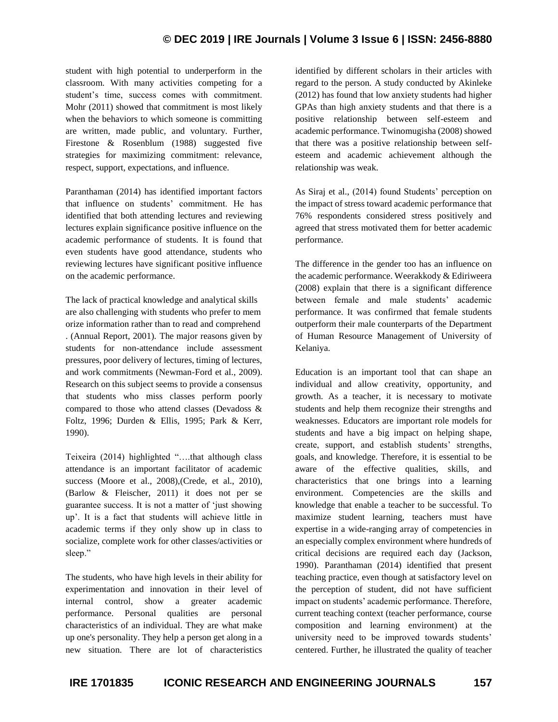student with high potential to underperform in the classroom. With many activities competing for a student's time, success comes with commitment. Mohr (2011) showed that commitment is most likely when the behaviors to which someone is committing are written, made public, and voluntary. Further, Firestone & Rosenblum (1988) suggested five strategies for maximizing commitment: relevance, respect, support, expectations, and influence.

Paranthaman (2014) has identified important factors that influence on students' commitment. He has identified that both attending lectures and reviewing lectures explain significance positive influence on the academic performance of students. It is found that even students have good attendance, students who reviewing lectures have significant positive influence on the academic performance.

The lack of practical knowledge and analytical skills are also challenging with students who prefer to mem orize information rather than to read and comprehend . (Annual Report, 2001). The major reasons given by students for non-attendance include assessment pressures, poor delivery of lectures, timing of lectures, and work commitments (Newman-Ford et al., 2009). Research on this subject seems to provide a consensus that students who miss classes perform poorly compared to those who attend classes (Devadoss & Foltz, 1996; Durden & Ellis, 1995; Park & Kerr, 1990).

Teixeira (2014) highlighted "….that although class attendance is an important facilitator of academic success (Moore et al., 2008),(Crede, et al., 2010), (Barlow & Fleischer, 2011) it does not per se guarantee success. It is not a matter of 'just showing up'. It is a fact that students will achieve little in academic terms if they only show up in class to socialize, complete work for other classes/activities or sleep."

The students, who have high levels in their ability for experimentation and innovation in their level of internal control, show a greater academic performance. Personal qualities are personal characteristics of an individual. They are what make up one's personality. They help a person get along in a new situation. There are lot of characteristics

identified by different scholars in their articles with regard to the person. A study conducted by Akinleke (2012) has found that low anxiety students had higher GPAs than high anxiety students and that there is a positive relationship between self-esteem and academic performance. Twinomugisha (2008) showed that there was a positive relationship between selfesteem and academic achievement although the relationship was weak.

As Siraj et al., (2014) found Students' perception on the impact of stress toward academic performance that 76% respondents considered stress positively and agreed that stress motivated them for better academic performance.

The difference in the gender too has an influence on the academic performance. Weerakkody & Ediriweera (2008) explain that there is a significant difference between female and male students' academic performance. It was confirmed that female students outperform their male counterparts of the Department of Human Resource Management of University of Kelaniya.

Education is an important tool that can shape an individual and allow creativity, opportunity, and growth. As a teacher, it is necessary to motivate students and help them recognize their strengths and weaknesses. Educators are important role models for students and have a big impact on helping shape, create, support, and establish students' strengths, goals, and knowledge. Therefore, it is essential to be aware of the effective qualities, skills, and characteristics that one brings into a learning environment. Competencies are the skills and knowledge that enable a teacher to be successful. To maximize student learning, teachers must have expertise in a wide-ranging array of competencies in an especially complex environment where hundreds of critical decisions are required each day (Jackson, 1990). Paranthaman (2014) identified that present teaching practice, even though at satisfactory level on the perception of student, did not have sufficient impact on students' academic performance. Therefore, current teaching context (teacher performance, course composition and learning environment) at the university need to be improved towards students' centered. Further, he illustrated the quality of teacher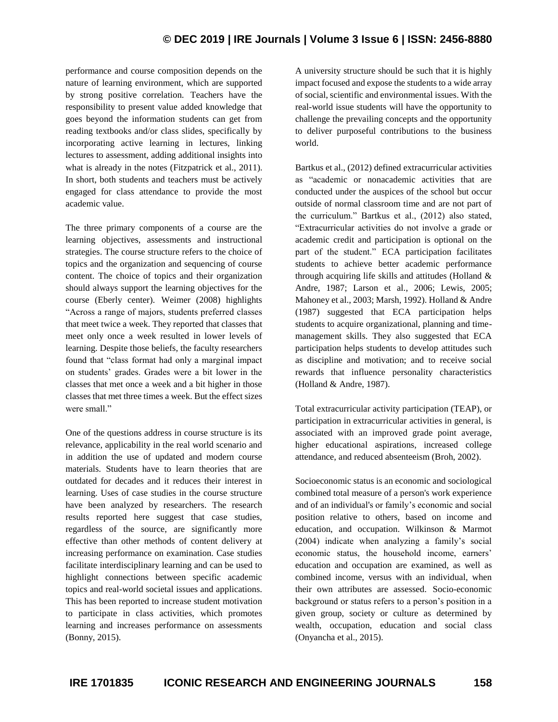performance and course composition depends on the nature of learning environment, which are supported by strong positive correlation. Teachers have the responsibility to present value added knowledge that goes beyond the information students can get from reading textbooks and/or class slides, specifically by incorporating active learning in lectures, linking lectures to assessment, adding additional insights into what is already in the notes (Fitzpatrick et al., 2011). In short, both students and teachers must be actively engaged for class attendance to provide the most academic value.

The three primary components of a course are the learning objectives, assessments and instructional strategies. The course structure refers to the choice of topics and the organization and sequencing of course content. The choice of topics and their organization should always support the learning objectives for the course (Eberly center). Weimer (2008) highlights "Across a range of majors, students preferred classes that meet twice a week. They reported that classes that meet only once a week resulted in lower levels of learning. Despite those beliefs, the faculty researchers found that "class format had only a marginal impact on students' grades. Grades were a bit lower in the classes that met once a week and a bit higher in those classes that met three times a week. But the effect sizes were small."

One of the questions address in course structure is its relevance, applicability in the real world scenario and in addition the use of updated and modern course materials. Students have to learn theories that are outdated for decades and it reduces their interest in learning. Uses of case studies in the course structure have been analyzed by researchers. The research results reported here suggest that case studies, regardless of the source, are significantly more effective than other methods of content delivery at increasing performance on examination. Case studies facilitate interdisciplinary learning and can be used to highlight connections between specific academic topics and real-world societal issues and applications. This has been reported to increase student motivation to participate in class activities, which promotes learning and increases performance on assessments (Bonny, 2015).

A university structure should be such that it is highly impact focused and expose the students to a wide array of social, scientific and environmental issues. With the real-world issue students will have the opportunity to challenge the prevailing concepts and the opportunity to deliver purposeful contributions to the business world.

Bartkus et al., (2012) defined extracurricular activities as "academic or nonacademic activities that are conducted under the auspices of the school but occur outside of normal classroom time and are not part of the curriculum." Bartkus et al., (2012) also stated, "Extracurricular activities do not involve a grade or academic credit and participation is optional on the part of the student." ECA participation facilitates students to achieve better academic performance through acquiring life skills and attitudes (Holland & Andre, 1987; Larson et al., 2006; Lewis, 2005; Mahoney et al., 2003; Marsh, 1992). Holland & Andre (1987) suggested that ECA participation helps students to acquire organizational, planning and timemanagement skills. They also suggested that ECA participation helps students to develop attitudes such as discipline and motivation; and to receive social rewards that influence personality characteristics (Holland & Andre, 1987).

Total extracurricular activity participation (TEAP), or participation in extracurricular activities in general, is associated with an improved grade point average, higher educational aspirations, increased college attendance, and reduced absenteeism (Broh, 2002).

Socioeconomic status is an economic and sociological combined total measure of a person's work experience and of an individual's or family's economic and social position relative to others, based on income and education, and occupation. Wilkinson & Marmot (2004) indicate when analyzing a family's social economic status, the household income, earners' education and occupation are examined, as well as combined income, versus with an individual, when their own attributes are assessed. Socio-economic background or status refers to a person's position in a given group, society or culture as determined by wealth, occupation, education and social class (Onyancha et al., 2015).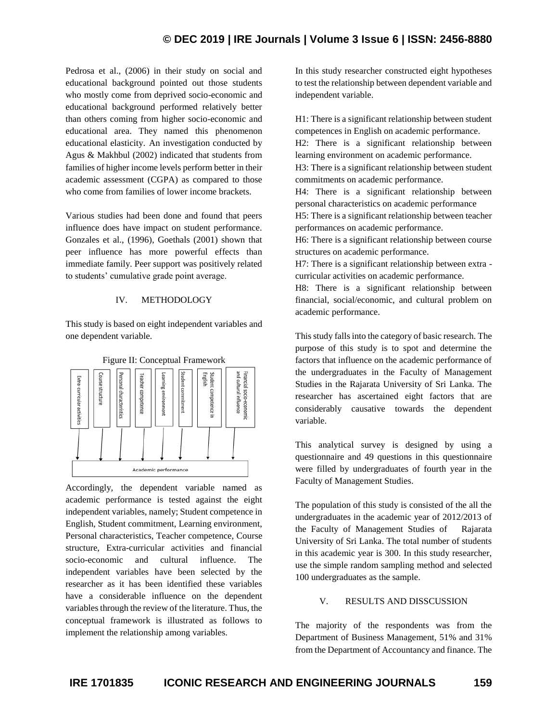Pedrosa et al., (2006) in their study on social and educational background pointed out those students who mostly come from deprived socio-economic and educational background performed relatively better than others coming from higher socio-economic and educational area. They named this phenomenon educational elasticity. An investigation conducted by Agus & Makhbul (2002) indicated that students from families of higher income levels perform better in their academic assessment (CGPA) as compared to those who come from families of lower income brackets.

Various studies had been done and found that peers influence does have impact on student performance. Gonzales et al., (1996), Goethals (2001) shown that peer influence has more powerful effects than immediate family. Peer support was positively related to students' cumulative grade point average.

#### IV. METHODOLOGY

This study is based on eight independent variables and one dependent variable.



Accordingly, the dependent variable named as academic performance is tested against the eight independent variables, namely; Student competence in English, Student commitment, Learning environment, Personal characteristics, Teacher competence, Course structure, Extra-curricular activities and financial socio-economic and cultural influence. The independent variables have been selected by the researcher as it has been identified these variables have a considerable influence on the dependent variables through the review of the literature. Thus, the conceptual framework is illustrated as follows to implement the relationship among variables.

In this study researcher constructed eight hypotheses to test the relationship between dependent variable and independent variable.

H1: There is a significant relationship between student competences in English on academic performance.

H2: There is a significant relationship between learning environment on academic performance.

H3: There is a significant relationship between student commitments on academic performance.

H4: There is a significant relationship between personal characteristics on academic performance

H5: There is a significant relationship between teacher performances on academic performance.

H6: There is a significant relationship between course structures on academic performance.

H7: There is a significant relationship between extra curricular activities on academic performance.

H8: There is a significant relationship between financial, social/economic, and cultural problem on academic performance.

This study falls into the category of basic research. The purpose of this study is to spot and determine the factors that influence on the academic performance of the undergraduates in the Faculty of Management Studies in the Rajarata University of Sri Lanka. The researcher has ascertained eight factors that are considerably causative towards the dependent variable.

This analytical survey is designed by using a questionnaire and 49 questions in this questionnaire were filled by undergraduates of fourth year in the Faculty of Management Studies.

The population of this study is consisted of the all the undergraduates in the academic year of 2012/2013 of the Faculty of Management Studies of Rajarata University of Sri Lanka. The total number of students in this academic year is 300. In this study researcher, use the simple random sampling method and selected 100 undergraduates as the sample.

## V. RESULTS AND DISSCUSSION

The majority of the respondents was from the Department of Business Management, 51% and 31% from the Department of Accountancy and finance. The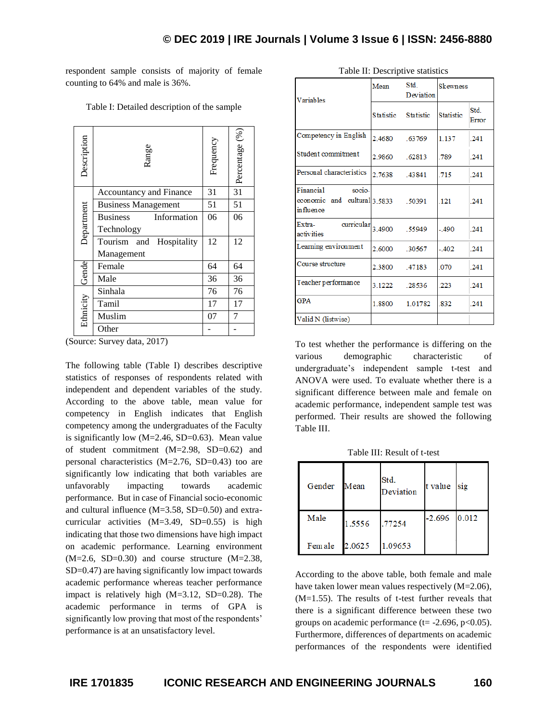respondent sample consists of majority of female counting to 64% and male is 36%.

| Description | Range                          | Frequency | Percentage (%)  |
|-------------|--------------------------------|-----------|-----------------|
|             | Accountancy and Finance        | 31        | $\overline{31}$ |
|             | <b>Business Management</b>     | 51        | 51              |
|             | <b>Business</b><br>Information | 06        | 06              |
| Department  | Technology                     |           |                 |
|             | Tourism<br>Hospitality<br>and  | 12        | 12              |
|             | Management                     |           |                 |
|             | Female                         | 64        | 64              |
| Gende       | Male                           | 36        | 36              |
|             | Sinhala                        | 76        | 76              |
|             | Tamil                          | 17        | 17              |
| Ethnicity   | Muslim                         | 07        |                 |
|             | Other                          |           |                 |

Table I: Detailed description of the sample

(Source: Survey data, 2017)

The following table (Table I) describes descriptive statistics of responses of respondents related with independent and dependent variables of the study. According to the above table, mean value for competency in English indicates that English competency among the undergraduates of the Faculty is significantly low  $(M=2.46, SD=0.63)$ . Mean value of student commitment (M=2.98, SD=0.62) and personal characteristics (M=2.76, SD=0.43) too are significantly low indicating that both variables are unfavorably impacting towards academic performance. But in case of Financial socio-economic and cultural influence (M=3.58, SD=0.50) and extracurricular activities (M=3.49, SD=0.55) is high indicating that those two dimensions have high impact on academic performance. Learning environment  $(M=2.6, SD=0.30)$  and course structure  $(M=2.38,$ SD=0.47) are having significantly low impact towards academic performance whereas teacher performance impact is relatively high (M=3.12, SD=0.28). The academic performance in terms of GPA is significantly low proving that most of the respondents' performance is at an unsatisfactory level.

| Variables                                                               | Std.<br>Mean<br>Deviation |         | Skewness         |               |
|-------------------------------------------------------------------------|---------------------------|---------|------------------|---------------|
|                                                                         | Statistic Statistic       |         | <b>Statistic</b> | Std.<br>Error |
| Competency in English                                                   | 24680                     | .63769  | 1.137 241        |               |
| Student commitment                                                      | 2.9860 62813              |         | 789              | .241          |
| Personal characteristics                                                | 2.7638 43841              |         | 715              | .241          |
| Financial<br>socio-<br>economic and cultural 3.5833 .50391<br>influence |                           |         | 121 241          |               |
| Extra- curricular<br>activities                                         | 3.4900 .55949             |         | $-490$ 241       |               |
| Learning environment                                                    | 2.6000 30567              |         | $-402$ 241       |               |
| Course structure                                                        | 2.3800                    | .47183  | .070             | .241          |
| Teacher performance                                                     | 3.1222 28536              |         | 223              | 241           |
| <b>GPA</b>                                                              | 1.8800                    | 1.01782 | 832              | $-241$        |
| Valid N (listwise)                                                      |                           |         |                  |               |

Table II: Descriptive statistics

To test whether the performance is differing on the various demographic characteristic of undergraduate's independent sample t-test and ANOVA were used. To evaluate whether there is a significant difference between male and female on academic performance, independent sample test was performed. Their results are showed the following Table III.

Table III: Result of t-test

| Gender  | Mean   | Std.<br>Deviation | t value  | sig   |
|---------|--------|-------------------|----------|-------|
| Male    | 1.5556 | .77254            | $-2.696$ | 0.012 |
| Fem ale | 2.0625 | 1.09653           |          |       |

According to the above table, both female and male have taken lower mean values respectively (M=2.06), (M=1.55). The results of t-test further reveals that there is a significant difference between these two groups on academic performance ( $t = -2.696$ ,  $p < 0.05$ ). Furthermore, differences of departments on academic performances of the respondents were identified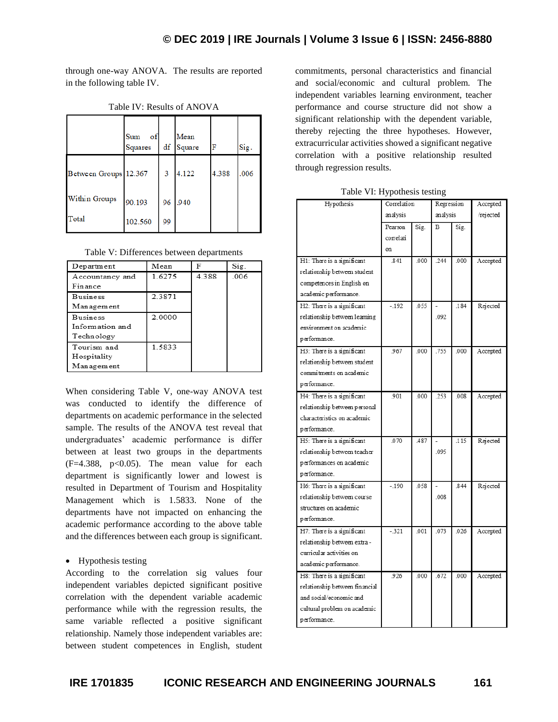through one-way ANOVA. The results are reported in the following table IV.

|                       | Sum<br>οf<br>Squares | df | Mean<br>Square | F     | Sig. |
|-----------------------|----------------------|----|----------------|-------|------|
| Between Groups 12.367 |                      | 3  | 4.122          | 4.388 | .006 |
| Within Groups         | 90.193               | 96 | .940           |       |      |
| Total                 | 102.560              | 99 |                |       |      |

Table IV: Results of ANOVA

|  | Table V: Differences between departments |  |  |
|--|------------------------------------------|--|--|
|--|------------------------------------------|--|--|

| Department      | Mean   | F     | Sig. |
|-----------------|--------|-------|------|
| Accountancy and | 1.6275 | 4.388 | .006 |
| Finance         |        |       |      |
| <b>Business</b> | 2.3871 |       |      |
| Management      |        |       |      |
| <b>Business</b> | 2.0000 |       |      |
| Information and |        |       |      |
| Technology      |        |       |      |
| Tourism and     | 1.5833 |       |      |
| Hospitality     |        |       |      |
| Management      |        |       |      |

When considering Table V, one-way ANOVA test was conducted to identify the difference of departments on academic performance in the selected sample. The results of the ANOVA test reveal that undergraduates' academic performance is differ between at least two groups in the departments  $(F=4.388, p<0.05)$ . The mean value for each department is significantly lower and lowest is resulted in Department of Tourism and Hospitality Management which is 1.5833. None of the departments have not impacted on enhancing the academic performance according to the above table and the differences between each group is significant.

## • Hypothesis testing

According to the correlation sig values four independent variables depicted significant positive correlation with the dependent variable academic performance while with the regression results, the same variable reflected a positive significant relationship. Namely those independent variables are: between student competences in English, student commitments, personal characteristics and financial and social/economic and cultural problem. The independent variables learning environment, teacher performance and course structure did not show a significant relationship with the dependent variable, thereby rejecting the three hypotheses. However, extracurricular activities showed a significant negative correlation with a positive relationship resulted through regression results.

Table VI: Hypothesis testing

| Hypothesis                     | Correlation |      | Regression |      | Accepted  |
|--------------------------------|-------------|------|------------|------|-----------|
|                                | analysis    |      | analysis   |      | /rejected |
|                                | Pearson     | Sig. | B          | Sig. |           |
|                                | correlati   |      |            |      |           |
|                                | on          |      |            |      |           |
| H1: There is a significant     | 841         | .000 | .244       | .000 | Accepted  |
| relationship between student   |             |      |            |      |           |
| competences in English on      |             |      |            |      |           |
| academic performance.          |             |      |            |      |           |
| H2: There is a significant     | $-.192$     | .055 |            | .184 | Rejected  |
| relationship between learning  |             |      | .092       |      |           |
| environment on academic        |             |      |            |      |           |
| performance.                   |             |      |            |      |           |
| H3: There is a significant     | 967         | .000 | .755       | .000 | Accepted  |
| relationship between student   |             |      |            |      |           |
| commitments on academic        |             |      |            |      |           |
| performance.                   |             |      |            |      |           |
| H4: There is a significant     | 901         | .000 | .253       | .008 | Accepted  |
| relationship between personal  |             |      |            |      |           |
| characteristics on academic    |             |      |            |      |           |
| performance.                   |             |      |            |      |           |
| H5: There is a significant     | .070        | .487 |            | .115 | Rejected  |
| relationship between teacher   |             |      | .095       |      |           |
| performances on academic       |             |      |            |      |           |
| performance.                   |             |      |            |      |           |
| H6: There is a significant     | $-.190$     | .058 |            | .844 | Rejected  |
| relationship between course    |             |      | .008       |      |           |
| structures on academic         |             |      |            |      |           |
| performance.                   |             |      |            |      |           |
| H7: There is a significant     | $-321$      | .001 | .073       | .026 | Accepted  |
| relationship between extra-    |             |      |            |      |           |
| curricular activities on       |             |      |            |      |           |
| academic performance.          |             |      |            |      |           |
| H8: There is a significant     | 926         | .000 | .672       | .000 | Accepted  |
| relationship between financial |             |      |            |      |           |
| and social/economic and        |             |      |            |      |           |
| cultural problem on academic   |             |      |            |      |           |
| performance.                   |             |      |            |      |           |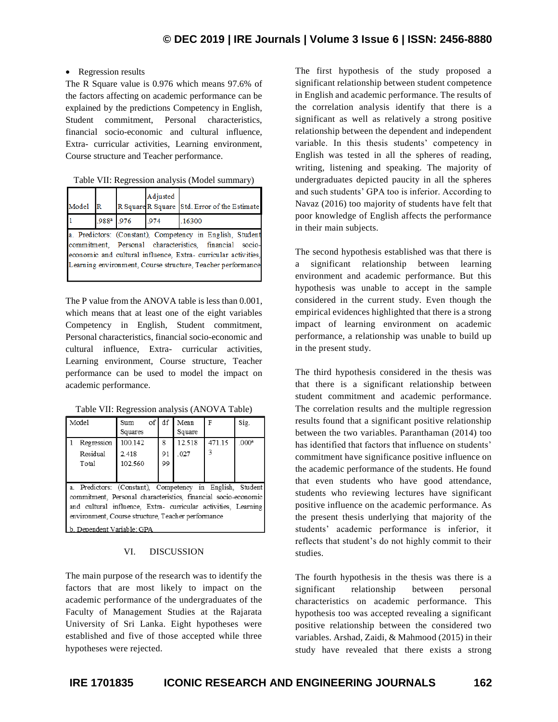## • Regression results

The R Square value is 0.976 which means 97.6% of the factors affecting on academic performance can be explained by the predictions Competency in English, Student commitment, Personal characteristics, financial socio-economic and cultural influence, Extra- curricular activities, Learning environment, Course structure and Teacher performance.

| Table VII: Regression analysis (Model summary) |  |
|------------------------------------------------|--|
|                                                |  |
|                                                |  |

| Model | $\mathbb R$ | Adjusted | R Square R Square Std. Error of the Estimate                                                                                                                                                                                                        |
|-------|-------------|----------|-----------------------------------------------------------------------------------------------------------------------------------------------------------------------------------------------------------------------------------------------------|
|       | .988ª .976  | .974     | .16300                                                                                                                                                                                                                                              |
|       |             |          | a. Predictors: (Constant), Competency in English, Student<br>commitment, Personal characteristics, financial socio-<br>economic and cultural influence. Extra-curricular activities,<br>Learning environment, Course structure, Teacher performance |

The P value from the ANOVA table is less than 0.001, which means that at least one of the eight variables Competency in English, Student commitment, Personal characteristics, financial socio-economic and cultural influence, Extra- curricular activities, Learning environment, Course structure, Teacher performance can be used to model the impact on academic performance.

Table VII: Regression analysis (ANOVA Table)

| Model                                                                                                                                                                                                                                                                               | Sum     | of df | Mean   | F     | Sig.             |  |
|-------------------------------------------------------------------------------------------------------------------------------------------------------------------------------------------------------------------------------------------------------------------------------------|---------|-------|--------|-------|------------------|--|
|                                                                                                                                                                                                                                                                                     | Squares |       | Square |       |                  |  |
| Regression                                                                                                                                                                                                                                                                          | 100 142 | 8     | 12518  | 47115 | 000 <sup>2</sup> |  |
| Residual                                                                                                                                                                                                                                                                            | 2.418   | 91    | 027    | 3     |                  |  |
| Total                                                                                                                                                                                                                                                                               | 102 560 | 99    |        |       |                  |  |
|                                                                                                                                                                                                                                                                                     |         |       |        |       |                  |  |
| a. Predictors: (Constant), Competency in English, Student<br>commitment, Personal characteristics, financial socio-economic<br>and cultural influence, Extra- curricular activities, Learning<br>environment, Course structure, Teacher performance<br>l b. Dependent Variable: GPA |         |       |        |       |                  |  |

## VI. DISCUSSION

The main purpose of the research was to identify the factors that are most likely to impact on the academic performance of the undergraduates of the Faculty of Management Studies at the Rajarata University of Sri Lanka. Eight hypotheses were established and five of those accepted while three hypotheses were rejected.

The first hypothesis of the study proposed a significant relationship between student competence in English and academic performance. The results of the correlation analysis identify that there is a significant as well as relatively a strong positive relationship between the dependent and independent variable. In this thesis students' competency in English was tested in all the spheres of reading, writing, listening and speaking. The majority of undergraduates depicted paucity in all the spheres and such students' GPA too is inferior. According to Navaz (2016) too majority of students have felt that poor knowledge of English affects the performance in their main subjects.

The second hypothesis established was that there is a significant relationship between learning environment and academic performance. But this hypothesis was unable to accept in the sample considered in the current study. Even though the empirical evidences highlighted that there is a strong impact of learning environment on academic performance, a relationship was unable to build up in the present study.

The third hypothesis considered in the thesis was that there is a significant relationship between student commitment and academic performance. The correlation results and the multiple regression results found that a significant positive relationship between the two variables. Paranthaman (2014) too has identified that factors that influence on students' commitment have significance positive influence on the academic performance of the students. He found that even students who have good attendance, students who reviewing lectures have significant positive influence on the academic performance. As the present thesis underlying that majority of the students' academic performance is inferior, it reflects that student's do not highly commit to their studies.

The fourth hypothesis in the thesis was there is a significant relationship between personal characteristics on academic performance. This hypothesis too was accepted revealing a significant positive relationship between the considered two variables. Arshad, Zaidi, & Mahmood (2015) in their study have revealed that there exists a strong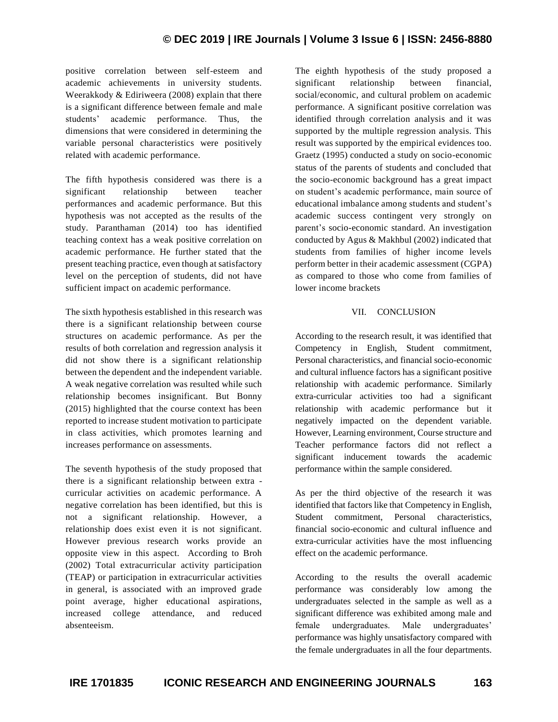positive correlation between self-esteem and academic achievements in university students. Weerakkody & Ediriweera (2008) explain that there is a significant difference between female and male students' academic performance. Thus, the dimensions that were considered in determining the variable personal characteristics were positively related with academic performance.

The fifth hypothesis considered was there is a significant relationship between teacher performances and academic performance. But this hypothesis was not accepted as the results of the study. Paranthaman (2014) too has identified teaching context has a weak positive correlation on academic performance. He further stated that the present teaching practice, even though at satisfactory level on the perception of students, did not have sufficient impact on academic performance.

The sixth hypothesis established in this research was there is a significant relationship between course structures on academic performance. As per the results of both correlation and regression analysis it did not show there is a significant relationship between the dependent and the independent variable. A weak negative correlation was resulted while such relationship becomes insignificant. But Bonny (2015) highlighted that the course context has been reported to increase student motivation to participate in class activities, which promotes learning and increases performance on assessments.

The seventh hypothesis of the study proposed that there is a significant relationship between extra curricular activities on academic performance. A negative correlation has been identified, but this is not a significant relationship. However, a relationship does exist even it is not significant. However previous research works provide an opposite view in this aspect. According to Broh (2002) Total extracurricular activity participation (TEAP) or participation in extracurricular activities in general, is associated with an improved grade point average, higher educational aspirations, increased college attendance, and reduced absenteeism.

The eighth hypothesis of the study proposed a significant relationship between financial, social/economic, and cultural problem on academic performance. A significant positive correlation was identified through correlation analysis and it was supported by the multiple regression analysis. This result was supported by the empirical evidences too. Graetz (1995) conducted a study on socio-economic status of the parents of students and concluded that the socio-economic background has a great impact on student's academic performance, main source of educational imbalance among students and student's academic success contingent very strongly on parent's socio-economic standard. An investigation conducted by Agus & Makhbul (2002) indicated that students from families of higher income levels perform better in their academic assessment (CGPA) as compared to those who come from families of lower income brackets

## VII. CONCLUSION

According to the research result, it was identified that Competency in English, Student commitment, Personal characteristics, and financial socio-economic and cultural influence factors has a significant positive relationship with academic performance. Similarly extra-curricular activities too had a significant relationship with academic performance but it negatively impacted on the dependent variable. However, Learning environment, Course structure and Teacher performance factors did not reflect a significant inducement towards the academic performance within the sample considered.

As per the third objective of the research it was identified that factors like that Competency in English, Student commitment, Personal characteristics, financial socio-economic and cultural influence and extra-curricular activities have the most influencing effect on the academic performance.

According to the results the overall academic performance was considerably low among the undergraduates selected in the sample as well as a significant difference was exhibited among male and female undergraduates. Male undergraduates' performance was highly unsatisfactory compared with the female undergraduates in all the four departments.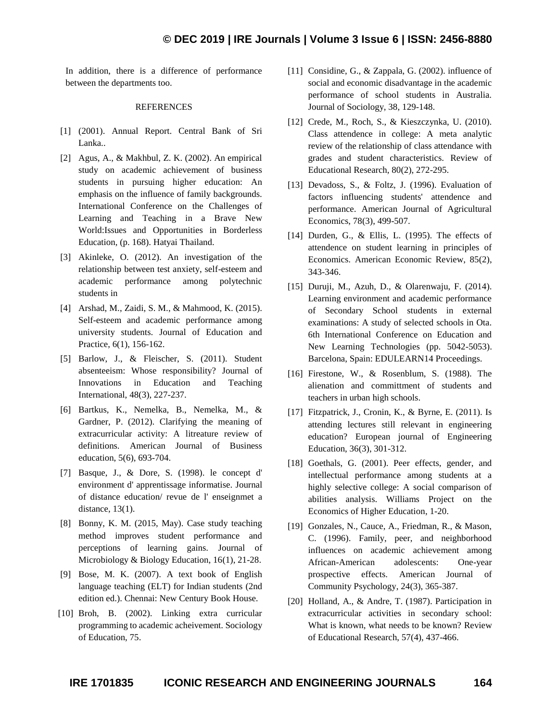In addition, there is a difference of performance between the departments too.

#### **REFERENCES**

- [1] (2001). Annual Report. Central Bank of Sri Lanka..
- [2] Agus, A., & Makhbul, Z. K. (2002). An empirical study on academic achievement of business students in pursuing higher education: An emphasis on the influence of family backgrounds. International Conference on the Challenges of Learning and Teaching in a Brave New World:Issues and Opportunities in Borderless Education, (p. 168). Hatyai Thailand.
- [3] Akinleke, O. (2012). An investigation of the relationship between test anxiety, self-esteem and academic performance among polytechnic students in
- [4] Arshad, M., Zaidi, S. M., & Mahmood, K. (2015). Self-esteem and academic performance among university students. Journal of Education and Practice, 6(1), 156-162.
- [5] Barlow, J., & Fleischer, S. (2011). Student absenteeism: Whose responsibility? Journal of Innovations in Education and Teaching International, 48(3), 227-237.
- [6] Bartkus, K., Nemelka, B., Nemelka, M., & Gardner, P. (2012). Clarifying the meaning of extracurricular activity: A litreature review of definitions. American Journal of Business education, 5(6), 693-704.
- [7] Basque, J., & Dore, S. (1998). le concept d' environment d' apprentissage informatise. Journal of distance education/ revue de l' enseignmet a distance, 13(1).
- [8] Bonny, K. M. (2015, May). Case study teaching method improves student performance and perceptions of learning gains. Journal of Microbiology & Biology Education, 16(1), 21-28.
- [9] Bose, M. K. (2007). A text book of English language teaching (ELT) for Indian students (2nd edition ed.). Chennai: New Century Book House.
- [10] Broh, B. (2002). Linking extra curricular programming to academic acheivement. Sociology of Education, 75.
- [11] Considine, G., & Zappala, G. (2002). influence of social and economic disadvantage in the academic performance of school students in Australia. Journal of Sociology, 38, 129-148.
- [12] Crede, M., Roch, S., & Kieszczynka, U. (2010). Class attendence in college: A meta analytic review of the relationship of class attendance with grades and student characteristics. Review of Educational Research, 80(2), 272-295.
- [13] Devadoss, S., & Foltz, J. (1996). Evaluation of factors influencing students' attendence and performance. American Journal of Agricultural Economics, 78(3), 499-507.
- [14] Durden, G., & Ellis, L. (1995). The effects of attendence on student learning in principles of Economics. American Economic Review, 85(2), 343-346.
- [15] Duruji, M., Azuh, D., & Olarenwaju, F. (2014). Learning environment and academic performance of Secondary School students in external examinations: A study of selected schools in Ota. 6th International Conference on Education and New Learning Technologies (pp. 5042-5053). Barcelona, Spain: EDULEARN14 Proceedings.
- [16] Firestone, W., & Rosenblum, S. (1988). The alienation and committment of students and teachers in urban high schools.
- [17] Fitzpatrick, J., Cronin, K., & Byrne, E. (2011). Is attending lectures still relevant in engineering education? European journal of Engineering Education, 36(3), 301-312.
- [18] Goethals, G. (2001). Peer effects, gender, and intellectual performance among students at a highly selective college: A social comparison of abilities analysis. Williams Project on the Economics of Higher Education, 1-20.
- [19] Gonzales, N., Cauce, A., Friedman, R., & Mason, C. (1996). Family, peer, and neighborhood influences on academic achievement among African-American adolescents: One-year prospective effects. American Journal of Community Psychology, 24(3), 365-387.
- [20] Holland, A., & Andre, T. (1987). Participation in extracurricular activities in secondary school: What is known, what needs to be known? Review of Educational Research, 57(4), 437-466.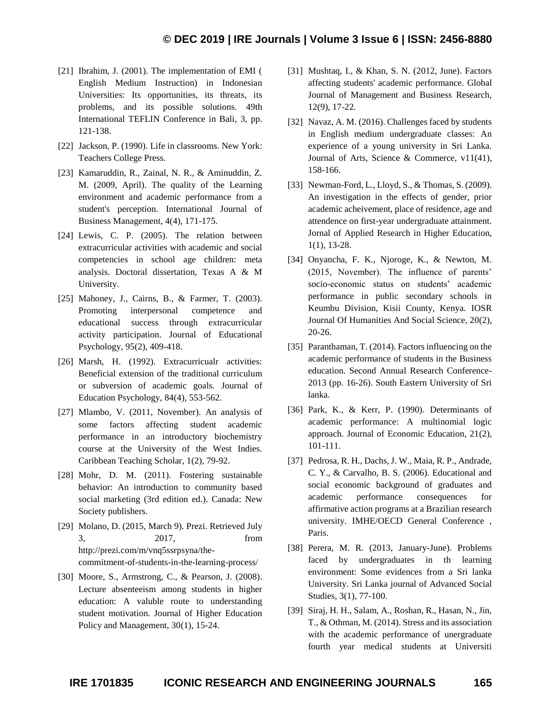- [21] Ibrahim, J. (2001). The implementation of EMI ( English Medium Instruction) in Indonesian Universities: Its opportunities, its threats, its problems, and its possible solutions. 49th International TEFLIN Conference in Bali, 3, pp. 121-138.
- [22] Jackson, P. (1990). Life in classrooms. New York: Teachers College Press.
- [23] Kamaruddin, R., Zainal, N. R., & Aminuddin, Z. M. (2009, April). The quality of the Learning environment and academic performance from a student's perception. International Journal of Business Management, 4(4), 171-175.
- [24] Lewis, C. P. (2005). The relation between extracurricular activities with academic and social competencies in school age children: meta analysis. Doctoral dissertation, Texas A & M University.
- [25] Mahoney, J., Cairns, B., & Farmer, T. (2003). Promoting interpersonal competence and educational success through extracurricular activity participation. Journal of Educational Psychology, 95(2), 409-418.
- [26] Marsh, H. (1992). Extracurricualr activities: Beneficial extension of the traditional curriculum or subversion of academic goals. Journal of Education Psychology, 84(4), 553-562.
- [27] Mlambo, V. (2011, November). An analysis of some factors affecting student academic performance in an introductory biochemistry course at the University of the West Indies. Caribbean Teaching Scholar, 1(2), 79-92.
- [28] Mohr, D. M. (2011). Fostering sustainable behavior: An introduction to community based social marketing (3rd edition ed.). Canada: New Society publishers.
- [29] Molano, D. (2015, March 9). Prezi. Retrieved July 3, 2017, from http://prezi.com/m/vnq5ssrpsyna/thecommitment-of-students-in-the-learning-process/
- [30] Moore, S., Armstrong, C., & Pearson, J. (2008). Lecture absenteeism among students in higher education: A valuble route to understanding student motivation. Journal of Higher Education Policy and Management, 30(1), 15-24.
- [31] Mushtaq, I., & Khan, S. N. (2012, June). Factors affecting students' academic performance. Global Journal of Management and Business Research, 12(9), 17-22.
- [32] Navaz, A. M. (2016). Challenges faced by students in English medium undergraduate classes: An experience of a young university in Sri Lanka. Journal of Arts, Science & Commerce, v11(41), 158-166.
- [33] Newman-Ford, L., Lloyd, S., & Thomas, S. (2009). An investigation in the effects of gender, prior academic acheivement, place of residence, age and attendence on first-year undergraduate attainment. Jornal of Applied Research in Higher Education, 1(1), 13-28.
- [34] Onyancha, F. K., Njoroge, K., & Newton, M. (2015, November). The influence of parents' socio-economic status on students' academic performance in public secondary schools in Keumbu Division, Kisii County, Kenya. IOSR Journal Of Humanities And Social Science, 20(2), 20-26.
- [35] Paranthaman, T. (2014). Factors influencing on the academic performance of students in the Business education. Second Annual Research Conference-2013 (pp. 16-26). South Eastern University of Sri lanka.
- [36] Park, K., & Kerr, P. (1990). Determinants of academic performance: A multinomial logic approach. Journal of Economic Education, 21(2), 101-111.
- [37] Pedrosa, R. H., Dachs, J. W., Maia, R. P., Andrade, C. Y., & Carvalho, B. S. (2006). Educational and social economic background of graduates and academic performance consequences for affirmative action programs at a Brazilian research university. IMHE/OECD General Conference , Paris.
- [38] Perera, M. R. (2013, January-June). Problems faced by undergraduates in th learning environment: Some evidences from a Sri lanka University. Sri Lanka journal of Advanced Social Studies, 3(1), 77-100.
- [39] Siraj, H. H., Salam, A., Roshan, R., Hasan, N., Jin, T., & Othman, M. (2014). Stress and its association with the academic performance of unergraduate fourth year medical students at Universiti